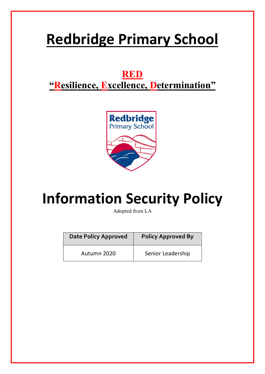# **Redbridge Primary School**

# **RED**

# **"Resilience, Excellence, Determination"**



# **Information Security Policy**

Adopted from LA

| <b>Date Policy Approved</b> | <b>Policy Approved By</b> |
|-----------------------------|---------------------------|
| Autumn 2020                 | Senior Leadership         |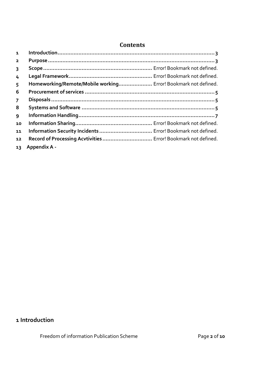# **Contents**

| $\mathbf{1}$            |                                                                |  |
|-------------------------|----------------------------------------------------------------|--|
| $\overline{\mathbf{2}}$ |                                                                |  |
| $\overline{3}$          |                                                                |  |
| 4                       |                                                                |  |
| 5                       | Homeworking/Remote/Mobile working Error! Bookmark not defined. |  |
| 6                       |                                                                |  |
| $\overline{7}$          |                                                                |  |
| 8                       |                                                                |  |
| 9                       |                                                                |  |
| 10                      |                                                                |  |
| 11                      | Information Security Incidents  Error! Bookmark not defined.   |  |
| 12                      | Record of Processing Acvtivities  Error! Bookmark not defined. |  |
| 13                      | Appendix A -                                                   |  |

# **1 Introduction**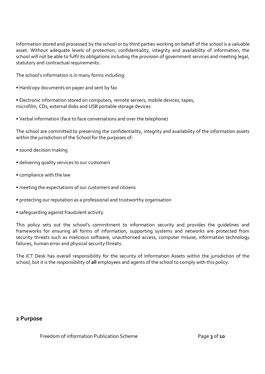Information stored and processed by the school or by third parties working on behalf of the school is a valuable asset. Without adequate levels of protection, confidentiality, integrity and availability of information, the school will not be able to fulfil its obligations including the provision of government services and meeting legal, statutory and contractual requirements.

The school's information is in many forms including:

- Hardcopy documents on paper and sent by fax
- Electronic information stored on computers, remote servers, mobile devices, tapes, microfilm, CDs, external disks and USB portable storage devices
- Verbal information (face to face conversations and over the telephone)

The school are committed to preserving the confidentiality, integrity and availability of the information assets within the jurisdiction of the School for the purposes of:

- sound decision making
- delivering quality services to our customers
- compliance with the law
- meeting the expectations of our customers and citizens
- protecting our reputation as a professional and trustworthy organisation
- safeguarding against fraudulent activity.

This policy sets out the school's commitment to information security and provides the guidelines and frameworks for ensuring all forms of information, supporting systems and networks are protected from security threats such as malicious software, unauthorised access, computer misuse, information technology failures, human error and physical security threats.

The ICT Desk has overall responsibility for the security of Information Assets within the jurisdiction of the school, but it is the responsibility of **all** employees and agents of the school to comply with this policy.

# **2 Purpose**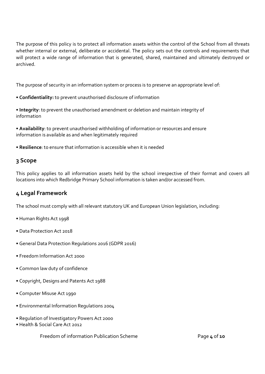The purpose of this policy is to protect all information assets within the control of the School from all threats whether internal or external, deliberate or accidental. The policy sets out the controls and requirements that will protect a wide range of information that is generated, shared, maintained and ultimately destroyed or archived.

The purpose of security in an information system or process is to preserve an appropriate level of:

- **Confidentiality:** to prevent unauthorised disclosure of information
- **Integrity**: to prevent the unauthorised amendment or deletion and maintain integrity of information
- **Availability**: to prevent unauthorised withholding of information or resources and ensure information is available as and when legitimately required
- **Resilience**: to ensure that information is accessible when it is needed

# **3 Scope**

This policy applies to all information assets held by the school irrespective of their format and covers all locations into which Redbridge Primary School information is taken and/or accessed from.

# **4 Legal Framework**

The school must comply with all relevant statutory UK and European Union legislation, including:

- Human Rights Act 1998
- Data Protection Act 2018
- General Data Protection Regulations 2016 (GDPR 2016)
- Freedom Information Act 2000
- Common law duty of confidence
- Copyright, Designs and Patents Act 1988
- Computer Misuse Act 1990
- Environmental Information Regulations 2004
- Regulation of Investigatory Powers Act 2000
- Health & Social Care Act 2012

Freedom of information Publication Scheme **Page 4** of **10**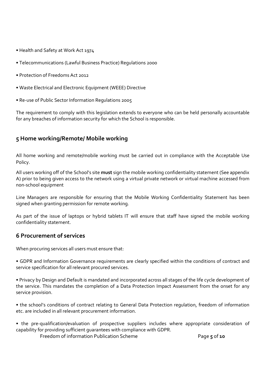- Health and Safety at Work Act 1974
- Telecommunications (Lawful Business Practice) Regulations 2000
- Protection of Freedoms Act 2012
- Waste Electrical and Electronic Equipment (WEEE) Directive
- Re-use of Public Sector Information Regulations 2005

The requirement to comply with this legislation extends to everyone who can be held personally accountable for any breaches of information security for which the School is responsible.

# **5 Home working/Remote/ Mobile working**

All home working and remote/mobile working must be carried out in compliance with the Acceptable Use Policy.

All users working off of the School's site **must** sign the mobile working confidentiality statement (See appendix A) prior to being given access to the network using a virtual private network or virtual machine accessed from non-school equipment

Line Managers are responsible for ensuring that the Mobile Working Confidentiality Statement has been signed when granting permission for remote working.

As part of the issue of laptops or hybrid tablets IT will ensure that staff have signed the mobile working confidentiality statement.

# **6 Procurement of services**

When procuring services all users must ensure that:

• GDPR and Information Governance requirements are clearly specified within the conditions of contract and service specification for all relevant procured services.

• Privacy by Design and Default is mandated and incorporated across all stages of the life cycle development of the service. This mandates the completion of a Data Protection Impact Assessment from the onset for any service provision.

• the school's conditions of contract relating to General Data Protection regulation, freedom of information etc. are included in all relevant procurement information.

• the pre-qualification/evaluation of prospective suppliers includes where appropriate consideration of capability for providing sufficient guarantees with compliance with GDPR.

Freedom of information Publication Scheme **Page 5** of **10**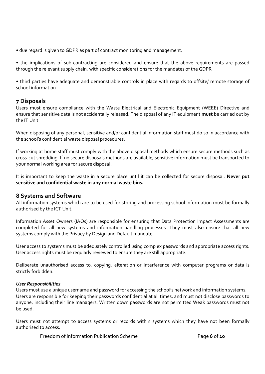• due regard is given to GDPR as part of contract monitoring and management.

• the implications of sub-contracting are considered and ensure that the above requirements are passed through the relevant supply chain, with specific considerations for the mandates of the GDPR

• third parties have adequate and demonstrable controls in place with regards to offsite/ remote storage of school information.

# **7 Disposals**

Users must ensure compliance with the Waste Electrical and Electronic Equipment (WEEE) Directive and ensure that sensitive data is not accidentally released. The disposal of any IT equipment **must** be carried out by the IT Unit.

When disposing of any personal, sensitive and/or confidential information staff must do so in accordance with the school's confidential waste disposal procedures.

If working at home staff must comply with the above disposal methods which ensure secure methods such as cross-cut shredding. If no secure disposals methods are available, sensitive information must be transported to your normal working area for secure disposal.

It is important to keep the waste in a secure place until it can be collected for secure disposal. **Never put sensitive and confidential waste in any normal waste bins.** 

#### **8 Systems and Software**

All information systems which are to be used for storing and processing school information must be formally authorised by the ICT Unit.

Information Asset Owners (IAOs) are responsible for ensuring that Data Protection Impact Assessments are completed for all new systems and information handling processes. They must also ensure that all new systems comply with the Privacy by Design and Default mandate.

User access to systems must be adequately controlled using complex passwords and appropriate access rights. User access rights must be regularly reviewed to ensure they are still appropriate.

Deliberate unauthorised access to, copying, alteration or interference with computer programs or data is strictly forbidden.

#### *User Responsibilities*

Users must use a unique username and password for accessing the school's network and information systems. Users are responsible for keeping their passwords confidential at all times, and must not disclose passwords to anyone, including their line managers. Written down passwords are not permitted Weak passwords must not be used.

Users must not attempt to access systems or records within systems which they have not been formally authorised to access.

Freedom of information Publication Scheme **Page 6** of **10**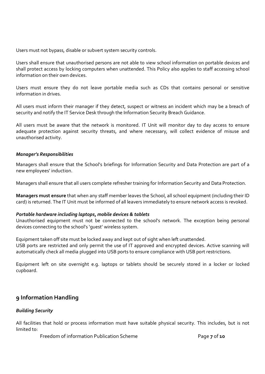Users must not bypass, disable or subvert system security controls.

Users shall ensure that unauthorised persons are not able to view school information on portable devices and shall protect access by locking computers when unattended. This Policy also applies to staff accessing school information on their own devices.

Users must ensure they do not leave portable media such as CDs that contains personal or sensitive information in drives.

All users must inform their manager if they detect, suspect or witness an incident which may be a breach of security and notify the IT Service Desk through the Information Security Breach Guidance.

All users must be aware that the network is monitored. IT Unit will monitor day to day access to ensure adequate protection against security threats, and where necessary, will collect evidence of misuse and unauthorised activity.

#### *Manager's Responsibilities*

Managers shall ensure that the School's briefings for Information Security and Data Protection are part of a new employees' induction.

Managers shall ensure that all users complete refresher training for Information Security and Data Protection.

**Managers must ensure** that when any staff member leaves the School, all school equipment (including their ID card) is returned. The IT Unit must be informed of all leavers immediately to ensure network access is revoked.

#### *Portable hardware including laptops, mobile devices & tablets*

Unauthorised equipment must not be connected to the school's network. The exception being personal devices connecting to the school's 'guest' wireless system.

Equipment taken off site must be locked away and kept out of sight when left unattended.

USB ports are restricted and only permit the use of IT approved and encrypted devices. Active scanning will automatically check all media plugged into USB ports to ensure compliance with USB port restrictions.

Equipment left on site overnight e.g. laptops or tablets should be securely stored in a locker or locked cupboard.

# **9 Information Handling**

#### *Building Security*

All facilities that hold or process information must have suitable physical security. This includes, but is not limited to:

Freedom of information Publication Scheme **Page 7** of **10**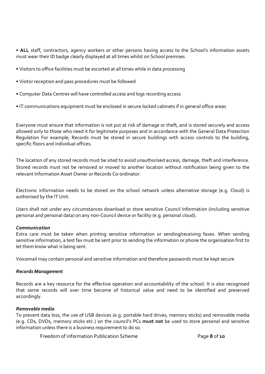• **ALL** staff, contractors, agency workers or other persons having access to the School's information assets must wear their ID badge clearly displayed at all times whilst on School premises

- Visitors to office facilities must be escorted at all times while in data processing
- Visitor reception and pass procedures must be followed
- Computer Data Centres will have controlled access and logs recording access
- IT communications equipment must be enclosed in secure locked cabinets if in general office areas

Everyone must ensure that information is not put at risk of damage or theft, and is stored securely and access allowed only to those who need it for legitimate purposes and in accordance with the General Data Protection Regulation For example; Records must be stored in secure buildings with access controls to the building, specific floors and individual offices.

The location of any stored records must be sited to avoid unauthorised access, damage, theft and interference. Stored records must not be removed or moved to another location without notification being given to the relevant Information Asset Owner or Records Co-ordinator.

Electronic information needs to be stored on the school network unless alternative storage (e.g. Cloud) is authorised by the IT Unit.

Users shall not under any circumstances download or store sensitive Council Information (including sensitive personal and personal data) on any non-Council device or facility (e.g. personal cloud).

#### *Communication*

Extra care must be taken when printing sensitive information or sending/receiving faxes. When sending sensitive information, a test fax must be sent prior to sending the information or phone the organisation first to let them know what is being sent.

Voicemail may contain personal and sensitive information and therefore passwords must be kept secure

#### *Records Management*

Records are a key resource for the effective operation and accountability of the school. It is also recognised that some records will over time become of historical value and need to be identified and preserved accordingly.

#### *Removable media*

To prevent data loss, the use of USB devices (e.g. portable hard drives, memory sticks) and removable media (e.g. CDs, DVDs, memory sticks etc.) on the council's PCs **must not** be used to store personal and sensitive information unless there is a business requirement to do so.

Freedom of information Publication Scheme **Page 8** of **10**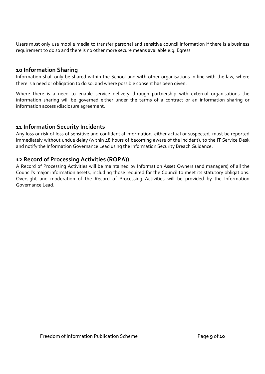Users must only use mobile media to transfer personal and sensitive council information if there is a business requirement to do so and there is no other more secure means available e.g. Egress

#### **10 Information Sharing**

Information shall only be shared within the School and with other organisations in line with the law, where there is a need or obligation to do so, and where possible consent has been given.

Where there is a need to enable service delivery through partnership with external organisations the information sharing will be governed either under the terms of a contract or an information sharing or information access /disclosure agreement.

# **11 Information Security Incidents**

Any loss or risk of loss of sensitive and confidential information, either actual or suspected, must be reported immediately without undue delay (within 48 hours of becoming aware of the incident), to the IT Service Desk and notify the Information Governance Lead using the Information Security Breach Guidance.

# **12 Record of Processing Activities (ROPA))**

A Record of Processing Activities will be maintained by Information Asset Owners (and managers) of all the Council's major information assets, including those required for the Council to meet its statutory obligations. Oversight and moderation of the Record of Processing Activities will be provided by the Information Governance Lead.